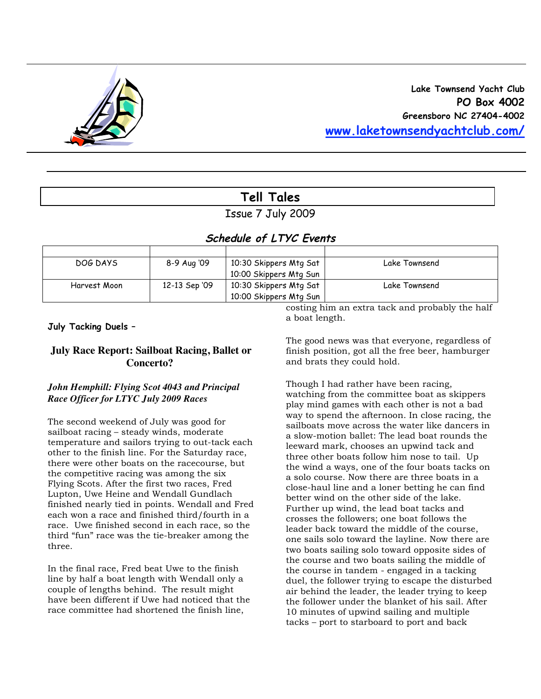

# **Tell Tales**

## Issue 7 July 2009

## **Schedule of LTYC Events**

| DOG DAYS     | 8-9 Aug '09   | 10:30 Skippers Mtg Sat | Lake Townsend |
|--------------|---------------|------------------------|---------------|
|              |               | 10:00 Skippers Mtg Sun |               |
| Harvest Moon | 12-13 Sep '09 | 10:30 Skippers Mtg Sat | Lake Townsend |
|              |               | 10:00 Skippers Mtg Sun |               |

**July Tacking Duels –**

## **July Race Report: Sailboat Racing, Ballet or Concerto?**

### *John Hemphill: Flying Scot 4043 and Principal Race Officer for LTYC July 2009 Races*

The second weekend of July was good for sailboat racing – steady winds, moderate temperature and sailors trying to out-tack each other to the finish line. For the Saturday race, there were other boats on the racecourse, but the competitive racing was among the six Flying Scots. After the first two races, Fred Lupton, Uwe Heine and Wendall Gundlach finished nearly tied in points. Wendall and Fred each won a race and finished third/fourth in a race. Uwe finished second in each race, so the third "fun" race was the tie-breaker among the three.

In the final race, Fred beat Uwe to the finish line by half a boat length with Wendall only a couple of lengths behind. The result might have been different if Uwe had noticed that the race committee had shortened the finish line,

costing him an extra tack and probably the half a boat length.

The good news was that everyone, regardless of finish position, got all the free beer, hamburger and brats they could hold.

Though I had rather have been racing, watching from the committee boat as skippers play mind games with each other is not a bad way to spend the afternoon. In close racing, the sailboats move across the water like dancers in a slow-motion ballet: The lead boat rounds the leeward mark, chooses an upwind tack and three other boats follow him nose to tail. Up the wind a ways, one of the four boats tacks on a solo course. Now there are three boats in a close-haul line and a loner betting he can find better wind on the other side of the lake. Further up wind, the lead boat tacks and crosses the followers; one boat follows the leader back toward the middle of the course, one sails solo toward the layline. Now there are two boats sailing solo toward opposite sides of the course and two boats sailing the middle of the course in tandem - engaged in a tacking duel, the follower trying to escape the disturbed air behind the leader, the leader trying to keep the follower under the blanket of his sail. After 10 minutes of upwind sailing and multiple tacks – port to starboard to port and back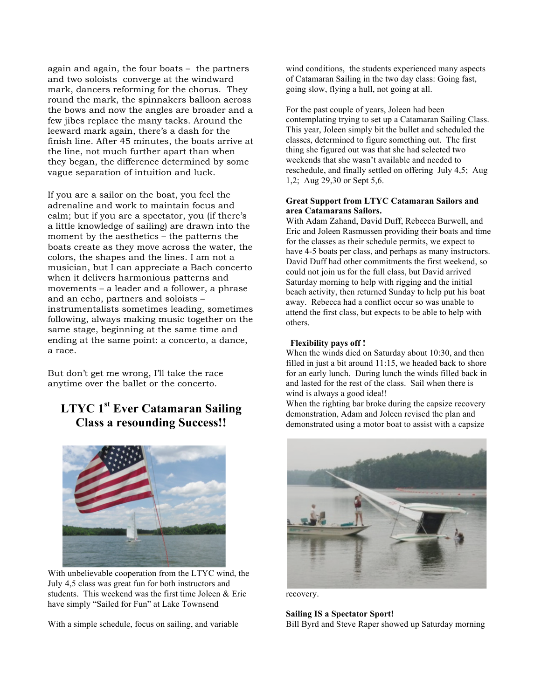again and again, the four boats – the partners and two soloists converge at the windward mark, dancers reforming for the chorus. They round the mark, the spinnakers balloon across the bows and now the angles are broader and a few jibes replace the many tacks. Around the leeward mark again, there's a dash for the finish line. After 45 minutes, the boats arrive at the line, not much further apart than when they began, the difference determined by some vague separation of intuition and luck.

If you are a sailor on the boat, you feel the adrenaline and work to maintain focus and calm; but if you are a spectator, you (if there's a little knowledge of sailing) are drawn into the moment by the aesthetics – the patterns the boats create as they move across the water, the colors, the shapes and the lines. I am not a musician, but I can appreciate a Bach concerto when it delivers harmonious patterns and movements – a leader and a follower, a phrase and an echo, partners and soloists – instrumentalists sometimes leading, sometimes following, always making music together on the same stage, beginning at the same time and ending at the same point: a concerto, a dance, a race.

But don't get me wrong, I'll take the race anytime over the ballet or the concerto.

## **LTYC 1st Ever Catamaran Sailing Class a resounding Success!!**



With unbelievable cooperation from the LTYC wind, the July 4,5 class was great fun for both instructors and students. This weekend was the first time Joleen & Eric have simply "Sailed for Fun" at Lake Townsend

With a simple schedule, focus on sailing, and variable

wind conditions, the students experienced many aspects of Catamaran Sailing in the two day class: Going fast, going slow, flying a hull, not going at all.

For the past couple of years, Joleen had been contemplating trying to set up a Catamaran Sailing Class. This year, Joleen simply bit the bullet and scheduled the classes, determined to figure something out. The first thing she figured out was that she had selected two weekends that she wasn't available and needed to reschedule, and finally settled on offering July 4,5; Aug 1,2; Aug 29,30 or Sept 5,6.

#### **Great Support from LTYC Catamaran Sailors and area Catamarans Sailors.**

With Adam Zahand, David Duff, Rebecca Burwell, and Eric and Joleen Rasmussen providing their boats and time for the classes as their schedule permits, we expect to have 4-5 boats per class, and perhaps as many instructors. David Duff had other commitments the first weekend, so could not join us for the full class, but David arrived Saturday morning to help with rigging and the initial beach activity, then returned Sunday to help put his boat away. Rebecca had a conflict occur so was unable to attend the first class, but expects to be able to help with others.

#### **Flexibility pays off !**

When the winds died on Saturday about 10:30, and then filled in just a bit around 11:15, we headed back to shore for an early lunch. During lunch the winds filled back in and lasted for the rest of the class. Sail when there is wind is always a good idea!!

When the righting bar broke during the capsize recovery demonstration, Adam and Joleen revised the plan and demonstrated using a motor boat to assist with a capsize



recovery.

#### **Sailing IS a Spectator Sport!**

Bill Byrd and Steve Raper showed up Saturday morning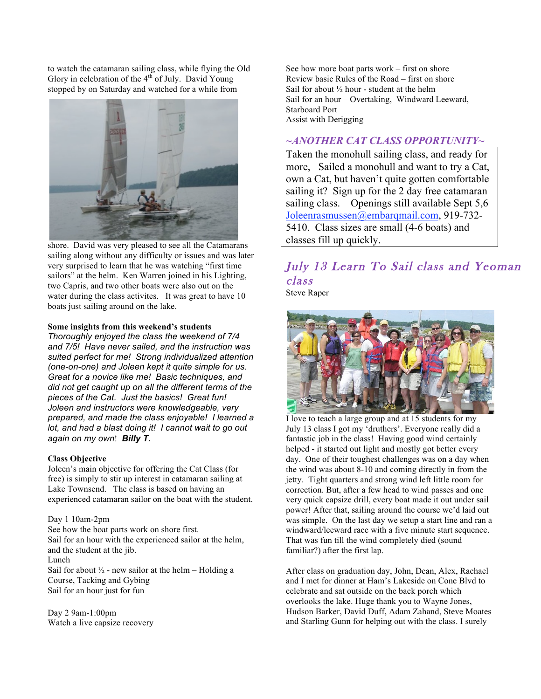to watch the catamaran sailing class, while flying the Old Glory in celebration of the  $4<sup>th</sup>$  of July. David Young stopped by on Saturday and watched for a while from



shore. David was very pleased to see all the Catamarans sailing along without any difficulty or issues and was later very surprised to learn that he was watching "first time sailors" at the helm. Ken Warren joined in his Lighting, two Capris, and two other boats were also out on the water during the class activites. It was great to have 10 boats just sailing around on the lake.

#### **Some insights from this weekend's students**

*Thoroughly enjoyed the class the weekend of 7/4 and 7/5! Have never sailed, and the instruction was suited perfect for me! Strong individualized attention (one-on-one) and Joleen kept it quite simple for us. Great for a novice like me! Basic techniques, and did not get caught up on all the different terms of the pieces of the Cat. Just the basics! Great fun! Joleen and instructors were knowledgeable, very prepared, and made the class enjoyable! I learned a lot, and had a blast doing it! I cannot wait to go out again on my own*! *Billy T.*

#### **Class Objective**

Joleen's main objective for offering the Cat Class (for free) is simply to stir up interest in catamaran sailing at Lake Townsend. The class is based on having an experienced catamaran sailor on the boat with the student.

Day 1 10am-2pm See how the boat parts work on shore first. Sail for an hour with the experienced sailor at the helm, and the student at the jib. Lunch Sail for about  $\frac{1}{2}$  - new sailor at the helm – Holding a Course, Tacking and Gybing Sail for an hour just for fun

Day 2 9am-1:00pm Watch a live capsize recovery See how more boat parts work – first on shore Review basic Rules of the Road – first on shore Sail for about  $\frac{1}{2}$  hour - student at the helm Sail for an hour – Overtaking, Windward Leeward, Starboard Port Assist with Derigging

## *~ANOTHER CAT CLASS OPPORTUNITY~*

Taken the monohull sailing class, and ready for more, Sailed a monohull and want to try a Cat, own a Cat, but haven't quite gotten comfortable sailing it? Sign up for the 2 day free catamaran sailing class. Openings still available Sept 5,6 Joleenrasmussen@embarqmail.com, 919-732- 5410. Class sizes are small (4-6 boats) and classes fill up quickly.

# July 13 Learn To Sail class and Yeoman class

Steve Raper



I love to teach a large group and at 15 students for my July 13 class I got my 'druthers'. Everyone really did a fantastic job in the class! Having good wind certainly helped - it started out light and mostly got better every day. One of their toughest challenges was on a day when the wind was about 8-10 and coming directly in from the jetty. Tight quarters and strong wind left little room for correction. But, after a few head to wind passes and one very quick capsize drill, every boat made it out under sail power! After that, sailing around the course we'd laid out was simple. On the last day we setup a start line and ran a windward/leeward race with a five minute start sequence. That was fun till the wind completely died (sound familiar?) after the first lap.

After class on graduation day, John, Dean, Alex, Rachael and I met for dinner at Ham's Lakeside on Cone Blvd to celebrate and sat outside on the back porch which overlooks the lake. Huge thank you to Wayne Jones, Hudson Barker, David Duff, Adam Zahand, Steve Moates and Starling Gunn for helping out with the class. I surely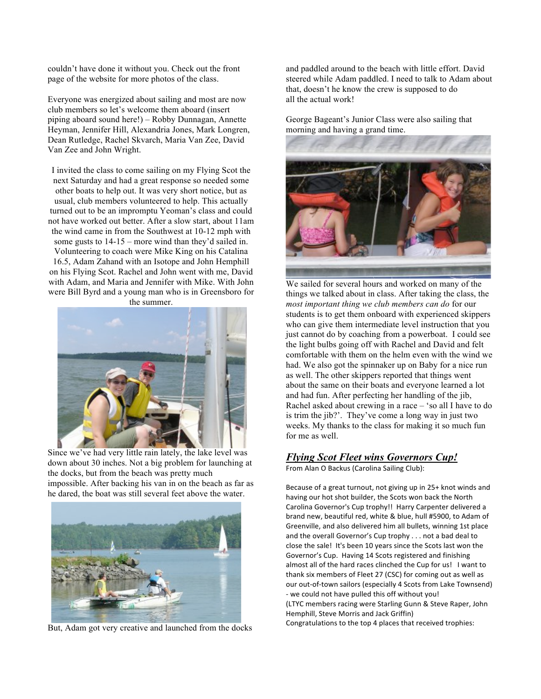couldn't have done it without you. Check out the front page of the website for more photos of the class.

Everyone was energized about sailing and most are now club members so let's welcome them aboard (insert piping aboard sound here!) – Robby Dunnagan, Annette Heyman, Jennifer Hill, Alexandria Jones, Mark Longren, Dean Rutledge, Rachel Skvarch, Maria Van Zee, David Van Zee and John Wright.

I invited the class to come sailing on my Flying Scot the next Saturday and had a great response so needed some other boats to help out. It was very short notice, but as usual, club members volunteered to help. This actually turned out to be an impromptu Yeoman's class and could not have worked out better. After a slow start, about 11am the wind came in from the Southwest at 10-12 mph with some gusts to 14-15 – more wind than they'd sailed in. Volunteering to coach were Mike King on his Catalina 16.5, Adam Zahand with an Isotope and John Hemphill on his Flying Scot. Rachel and John went with me, David with Adam, and Maria and Jennifer with Mike. With John were Bill Byrd and a young man who is in Greensboro for the summer.



Since we've had very little rain lately, the lake level was down about 30 inches. Not a big problem for launching at the docks, but from the beach was pretty much impossible. After backing his van in on the beach as far as he dared, the boat was still several feet above the water.



But, Adam got very creative and launched from the docks

and paddled around to the beach with little effort. David steered while Adam paddled. I need to talk to Adam about that, doesn't he know the crew is supposed to do all the actual work!

George Bageant's Junior Class were also sailing that morning and having a grand time.



We sailed for several hours and worked on many of the things we talked about in class. After taking the class, the *most important thing we club members can do* for our students is to get them onboard with experienced skippers who can give them intermediate level instruction that you just cannot do by coaching from a powerboat. I could see the light bulbs going off with Rachel and David and felt comfortable with them on the helm even with the wind we had. We also got the spinnaker up on Baby for a nice run as well. The other skippers reported that things went about the same on their boats and everyone learned a lot and had fun. After perfecting her handling of the jib, Rachel asked about crewing in a race – 'so all I have to do is trim the jib?'. They've come a long way in just two weeks. My thanks to the class for making it so much fun for me as well.

### *Flying Scot Fleet wins Governors Cup!*

From Alan O Backus (Carolina Sailing Club):

Because of a great turnout, not giving up in 25+ knot winds and having our hot shot builder, the Scots won back the North Carolina Governor's Cup trophy!! Harry Carpenter delivered a brand new, beautiful red, white & blue, hull #5900, to Adam of Greenville, and also delivered him all bullets, winning 1st place and the overall Governor's Cup trophy . . . not a bad deal to close the sale! It's been 10 years since the Scots last won the Governor's Cup. Having 14 Scots registered and finishing almost all of the hard races clinched the Cup for us! I want to thank six members of Fleet 27 (CSC) for coming out as well as our out‐of‐town sailors (especially 4 Scots from Lake Townsend) ‐ we could not have pulled this off without you! (LTYC members racing were Starling Gunn & Steve Raper, John Hemphill, Steve Morris and Jack Griffin) Congratulations to the top 4 places that received trophies: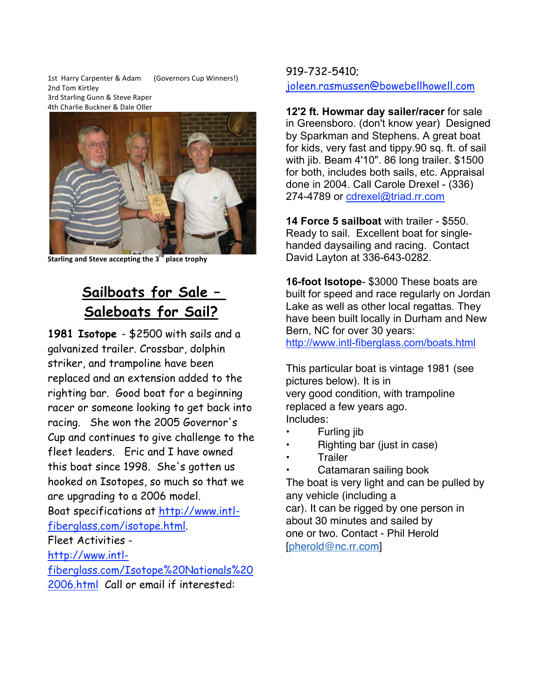1st Harry Carpenter & Adam (Governors Cup Winners!) 2nd Tom Kirtley 3rd Starling Gunn & Steve Raper 4th Charlie Buckner & Dale Oller



**Starling and Steve accepting the 3rd place trophy**

# **Sailboats for Sale – Saleboats for Sail?**

**1981 Isotope** - \$2500 with sails and a galvanized trailer. Crossbar, dolphin striker, and trampoline have been replaced and an extension added to the righting bar. Good boat for a beginning racer or someone looking to get back into racing. She won the 2005 Governor's Cup and continues to give challenge to the fleet leaders. Eric and I have owned this boat since 1998. She's gotten us hooked on Isotopes, so much so that we are upgrading to a 2006 model. Boat specifications at http://www.intlfiberglass.com/isotope.html. Fleet Activities http://www.intlfiberglass.com/Isotope%20Nationals%20

## 2006.html Call or email if interested:

## 919-732-5410;

joleen.rasmussen@bowebellhowell.com

**12'2 ft. Howmar day sailer/racer** for sale in Greensboro. (don't know year) Designed by Sparkman and Stephens. A great boat for kids, very fast and tippy.90 sq. ft. of sail with jib. Beam 4'10". 86 long trailer. \$1500 for both, includes both sails, etc. Appraisal done in 2004. Call Carole Drexel - (336) 274-4789 or cdrexel@triad.rr.com

**14 Force 5 sailboat** with trailer - \$550. Ready to sail. Excellent boat for singlehanded daysailing and racing. Contact David Layton at 336-643-0282.

**16-foot Isotope**- \$3000 These boats are built for speed and race regularly on Jordan Lake as well as other local regattas. They have been built locally in Durham and New Bern, NC for over 30 years: http://www.intl-fiberglass.com/boats.html

This particular boat is vintage 1981 (see pictures below). It is in very good condition, with trampoline replaced a few years ago. Includes:

- Furling jib
- Righting bar (just in case)
- **Trailer**
- Catamaran sailing book

The boat is very light and can be pulled by any vehicle (including a car). It can be rigged by one person in about 30 minutes and sailed by one or two. Contact - Phil Herold [pherold@nc.rr.com]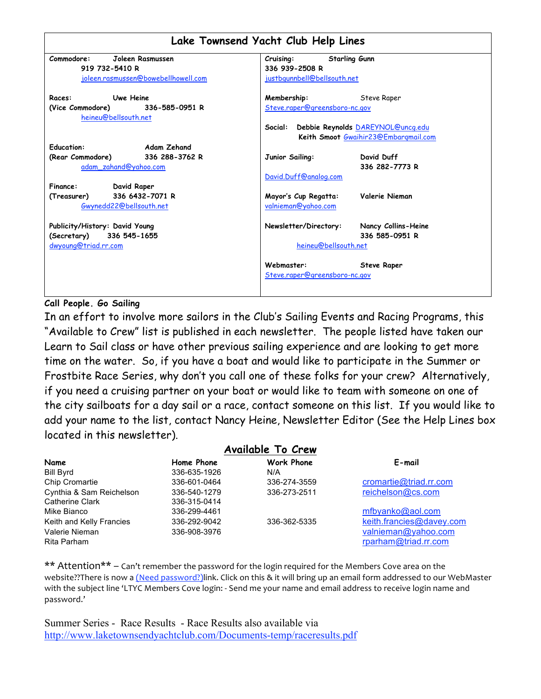|                                     | Lake Townsend Yacht Club Help Lines                                                  |
|-------------------------------------|--------------------------------------------------------------------------------------|
| Commodore:<br>Joleen Rasmussen      | <b>Starling Gunn</b><br>Cruising:                                                    |
| 919 732-5410 R                      | 336 939-2508 R                                                                       |
| joleen.rasmussen@bowebellhowell.com | justbgunnbell@bellsouth.net                                                          |
| Uwe Heine<br>Races:                 | Membership:<br><b>Steve Raper</b>                                                    |
| (Vice Commodore) 336-585-0951 R     | Steve.raper@greensboro-nc.gov                                                        |
| heineu@bellsouth.net                | Debbie Reynolds DAREYNOL@uncq.edu<br>Social:<br>Keith Smoot Gwaihir23@Embargmail.com |
| <b>Education:</b><br>Adam Zehand    |                                                                                      |
| (Rear Commodore) 336 288-3762 R     | David Duff<br>Junior Sailing:                                                        |
| adam_zahand@yahoo.com               | 336 282-7773 R                                                                       |
|                                     | David.Duff@analog.com                                                                |
| Finance:<br>David Raper             |                                                                                      |
| 336 6432-7071 R<br>(Treasurer)      | Valerie Nieman<br>Mayor's Cup Regatta:                                               |
| Gwynedd22@bellsouth.net             | valnieman@yahoo.com                                                                  |
| Publicity/History: David Young      | Newsletter/Directory:<br>Nancy Collins-Heine                                         |
| 336 545-1655<br>(Secretary)         | 336 585-0951 R                                                                       |
| dwyoung@triad.rr.com                | heineu@bellsouth.net                                                                 |
|                                     | Webmaster:<br><b>Steve Raper</b>                                                     |
|                                     | Steve.raper@greensboro-nc.gov                                                        |
|                                     |                                                                                      |

## **Call People. Go Sailing**

In an effort to involve more sailors in the Club's Sailing Events and Racing Programs, this "Available to Crew" list is published in each newsletter. The people listed have taken our Learn to Sail class or have other previous sailing experience and are looking to get more time on the water. So, if you have a boat and would like to participate in the Summer or Frostbite Race Series, why don't you call one of these folks for your crew? Alternatively, if you need a cruising partner on your boat or would like to team with someone on one of the city sailboats for a day sail or a race, contact someone on this list. If you would like to add your name to the list, contact Nancy Heine, Newsletter Editor (See the Help Lines box located in this newsletter).

| <b>Available To Crew</b> |              |                   |                          |  |  |  |  |  |  |  |  |  |
|--------------------------|--------------|-------------------|--------------------------|--|--|--|--|--|--|--|--|--|
| Name                     | Home Phone   | <b>Work Phone</b> | E-mail                   |  |  |  |  |  |  |  |  |  |
| <b>Bill Byrd</b>         | 336-635-1926 | N/A               |                          |  |  |  |  |  |  |  |  |  |
| Chip Cromartie           | 336-601-0464 | 336-274-3559      | cromartie@triad.rr.com   |  |  |  |  |  |  |  |  |  |
| Cynthia & Sam Reichelson | 336-540-1279 | 336-273-2511      | reichelson@cs.com        |  |  |  |  |  |  |  |  |  |
| Catherine Clark          | 336-315-0414 |                   |                          |  |  |  |  |  |  |  |  |  |
| Mike Bianco              | 336-299-4461 |                   | mfbyanko@aol.com         |  |  |  |  |  |  |  |  |  |
| Keith and Kelly Francies | 336-292-9042 | 336-362-5335      | keith.francies@davey.com |  |  |  |  |  |  |  |  |  |
| Valerie Nieman           | 336-908-3976 |                   | valnieman@yahoo.com      |  |  |  |  |  |  |  |  |  |
| Rita Parham              |              |                   | rparham@triad.rr.com     |  |  |  |  |  |  |  |  |  |

\*\* Attention\*\* – Can't remember the password for the login required for the Members Cove area on the website??There is now a (Need password?)link. Click on this & it will bring up an email form addressed to our WebMaster with the subject line 'LTYC Members Cove login: ‐ Send me your name and email address to receive login name and password.'

Summer Series - Race Results - Race Results also available via http://www.laketownsendyachtclub.com/Documents-temp/raceresults.pdf